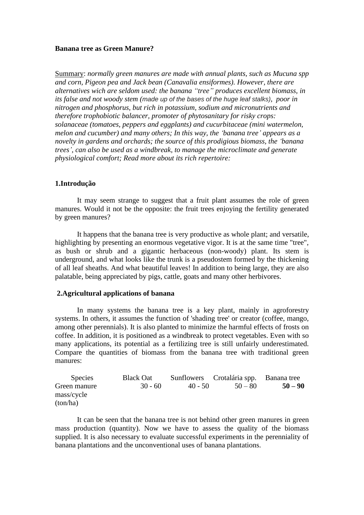# **Banana tree as Green Manure?**

Summary: *normally green manures are made with annual plants, such as Mucuna spp and corn, Pigeon pea and Jack bean (Canavalia ensiformes). However, there are alternatives wich are seldom used: the banana "tree" produces excellent biomass, in its false and not woody stem (made up of the bases of the huge leaf stalks), poor in nitrogen and phosphorus, but rich in potassium, sodium and micronutrients and therefore trophobiotic balancer, promoter of phytosanitary for risky crops: solanaceae (tomatoes, peppers and eggplants) and cucurbitaceae (mini watermelon, melon and cucumber) and many others; In this way, the 'banana tree' appears as a novelty in gardens and orchards; the source of this prodigious biomass, the 'banana trees', can also be used as a windbreak, to manage the microclimate and generate physiological comfort; Read more about its rich repertoire:*

## **1.Introdução**

It may seem strange to suggest that a fruit plant assumes the role of green manures. Would it not be the opposite: the fruit trees enjoying the fertility generated by green manures?

It happens that the banana tree is very productive as whole plant; and versatile, highlighting by presenting an enormous vegetative vigor. It is at the same time "tree", as bush or shrub and a gigantic herbaceous (non-woody) plant. Its stem is underground, and what looks like the trunk is a pseudostem formed by the thickening of all leaf sheaths. And what beautiful leaves! In addition to being large, they are also palatable, being appreciated by pigs, cattle, goats and many other herbivores.

#### **2.Agricultural applications of banana**

In many systems the banana tree is a key plant, mainly in agroforestry systems. In others, it assumes the function of 'shading tree' or creator (coffee, mango, among other perennials). It is also planted to minimize the harmful effects of frosts on coffee. In addition, it is positioned as a windbreak to protect vegetables. Even with so many applications, its potential as a fertilizing tree is still unfairly underestimated. Compare the quantities of biomass from the banana tree with traditional green manures:

| <b>Species</b> | <b>Black Oat</b> |           | Sunflowers Crotalária spp. Banana tree |           |
|----------------|------------------|-----------|----------------------------------------|-----------|
| Green manure   | $30 - 60$        | $40 - 50$ | $50 - 80$                              | $50 - 90$ |
| mass/cycle     |                  |           |                                        |           |
| (ton/ha)       |                  |           |                                        |           |

It can be seen that the banana tree is not behind other green manures in green mass production (quantity). Now we have to assess the quality of the biomass supplied. It is also necessary to evaluate successful experiments in the perenniality of banana plantations and the unconventional uses of banana plantations.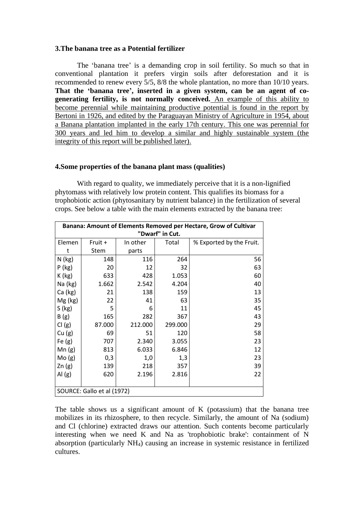## **3.The banana tree as a Potential fertilizer**

The 'banana tree' is a demanding crop in soil fertility. So much so that in conventional plantation it prefers virgin soils after deforestation and it is recommended to renew every 5/5, 8/8 the whole plantation, no more than 10/10 years. **That the 'banana tree', inserted in a given system, can be an agent of cogenerating fertility, is not normally conceived.** An example of this ability to become perennial while maintaining productive potential is found in the report by Bertoni in 1926, and edited by the Paraguayan Ministry of Agriculture in 1954, about a Banana plantation implanted in the early 17th century. This one was perennial for 300 years and led him to develop a similar and highly sustainable system (the integrity of this report will be published later).

# **4.Some properties of the banana plant mass (qualities)**

With regard to quality, we immediately perceive that it is a non-lignified phytomass with relatively low protein content. This qualifies its biomass for a trophobiotic action (phytosanitary by nutrient balance) in the fertilization of several crops. See below a table with the main elements extracted by the banana tree:

| Banana: Amount of Elements Removed per Hectare, Grow of Cultivar |         |          |         |                          |  |  |  |
|------------------------------------------------------------------|---------|----------|---------|--------------------------|--|--|--|
| "Dwarf" in Cut.                                                  |         |          |         |                          |  |  |  |
| Elemen                                                           | Fruit + | In other | Total   | % Exported by the Fruit. |  |  |  |
| t                                                                | Stem    | parts    |         |                          |  |  |  |
| $N$ (kg)                                                         | 148     | 116      | 264     | 56                       |  |  |  |
| $P$ (kg)                                                         | 20      | 12       | 32      | 63                       |  |  |  |
| $K$ (kg)                                                         | 633     | 428      | 1.053   | 60                       |  |  |  |
| Na (kg)                                                          | 1.662   | 2.542    | 4.204   | 40                       |  |  |  |
| Ca (kg)                                                          | 21      | 138      | 159     | 13                       |  |  |  |
| Mg (kg)                                                          | 22      | 41       | 63      | 35                       |  |  |  |
| S(kg)                                                            | 5       | 6        | 11      | 45                       |  |  |  |
| B(g)                                                             | 165     | 282      | 367     | 43                       |  |  |  |
| Cl(g)                                                            | 87.000  | 212.000  | 299.000 | 29                       |  |  |  |
| Cu(g)                                                            | 69      | 51       | 120     | 58                       |  |  |  |
| Fe $(g)$                                                         | 707     | 2.340    | 3.055   | 23                       |  |  |  |
| Mn(g)                                                            | 813     | 6.033    | 6.846   | 12                       |  |  |  |
| Mo(g)                                                            | 0,3     | 1,0      | 1,3     | 23                       |  |  |  |
| Zn(g)                                                            | 139     | 218      | 357     | 39                       |  |  |  |
| AI(g)                                                            | 620     | 2.196    | 2.816   | 22                       |  |  |  |
|                                                                  |         |          |         |                          |  |  |  |
| SOURCE: Gallo et al (1972)                                       |         |          |         |                          |  |  |  |

The table shows us a significant amount of K (potassium) that the banana tree mobilizes in its rhizosphere, to then recycle. Similarly, the amount of Na (sodium) and Cl (chlorine) extracted draws our attention. Such contents become particularly interesting when we need K and Na as 'trophobiotic brake': containment of N absorption (particularly NH4) causing an increase in systemic resistance in fertilized cultures.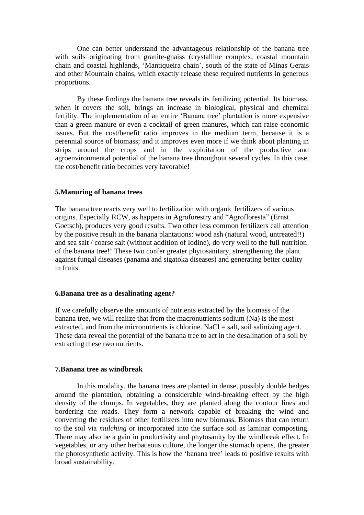One can better understand the advantageous relationship of the banana tree with soils originating from granite-gnaiss (crystalline complex, coastal mountain chain and coastal highlands, 'Mantiqueira chain', south of the state of Minas Gerais and other Mountain chains, which exactly release these required nutrients in generous proportions.

By these findings the banana tree reveals its fertilizing potential. Its biomass, when it covers the soil, brings an increase in biological, physical and chemical fertility. The implementation of an entire 'Banana tree' plantation is more expensive than a green manure or even a cocktail of green manures, which can raise economic issues. But the cost/benefit ratio improves in the medium term, because it is a perennial source of biomass; and it improves even more if we think about planting in strips around the crops and in the exploitation of the productive and agroenvironmental potential of the banana tree throughout several cycles. In this case, the cost/benefit ratio becomes very favorable!

## **5.Manuring of banana trees**

The banana tree reacts very well to fertilization with organic fertilizers of various origins. Especially RCW, as happens in Agroforestry and "Agrofloresta" (Ernst Goetsch), produces very good results. Two other less common fertilizers call attention by the positive result in the banana plantations: wood ash (natural wood, untreated!!) and sea salt / coarse salt (without addition of Iodine), do very well to the full nutrition of the banana tree!! These two confer greater phytosanitary, strengthening the plant against fungal diseases (panama and sigatoka diseases) and generating better quality in fruits.

# **6.Banana tree as a desalinating agent?**

If we carefully observe the amounts of nutrients extracted by the biomass of the banana tree, we will realize that from the macronutrients sodium (Na) is the most extracted, and from the micronutrients is chlorine. NaCl  $=$  salt, soil salinizing agent. These data reveal the potential of the banana tree to act in the desalination of a soil by extracting these two nutrients.

#### **7.Banana tree as windbreak**

In this modality, the banana trees are planted in dense, possibly double hedges around the plantation, obtaining a considerable wind-breaking effect by the high density of the clumps. In vegetables, they are planted along the contour lines and bordering the roads. They form a network capable of breaking the wind and converting the residues of other fertilizers into new biomass. Biomass that can return to the soil via *mulching* or incorporated into the surface soil as laminar composting. There may also be a gain in productivity and phytosanity by the windbreak effect. In vegetables, or any other herbaceous culture, the longer the stomach opens, the greater the photosynthetic activity. This is how the 'banana tree' leads to positive results with broad sustainability.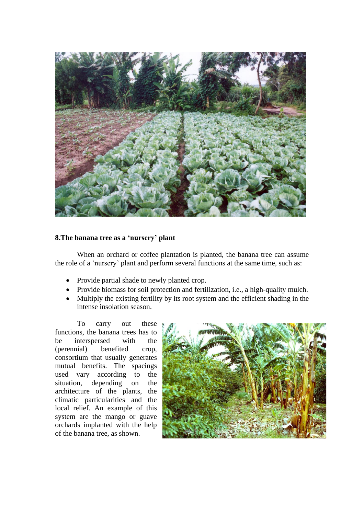

# **8.The banana tree as a 'nursery' plant**

When an orchard or coffee plantation is planted, the banana tree can assume the role of a 'nursery' plant and perform several functions at the same time, such as:

- Provide partial shade to newly planted crop.
- Provide biomass for soil protection and fertilization, i.e., a high-quality mulch.
- Multiply the existing fertility by its root system and the efficient shading in the intense insolation season.

To carry out these functions, the banana trees has to be interspersed with the (perennial) benefited crop, consortium that usually generates mutual benefits. The spacings used vary according to the situation, depending on the architecture of the plants, the climatic particularities and the local relief. An example of this system are the mango or guave orchards implanted with the help of the banana tree, as shown.

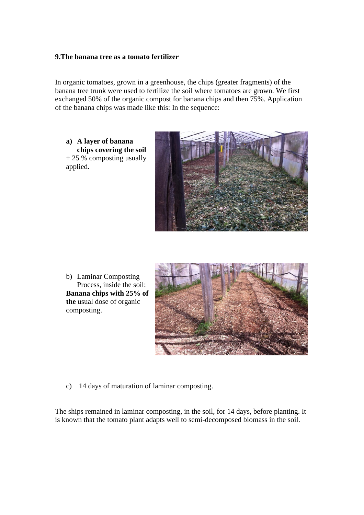# **9.The banana tree as a tomato fertilizer**

In organic tomatoes, grown in a greenhouse, the chips (greater fragments) of the banana tree trunk were used to fertilize the soil where tomatoes are grown. We first exchanged 50% of the organic compost for banana chips and then 75%. Application of the banana chips was made like this: In the sequence:

**a) A layer of banana chips covering the soil** + 25 % composting usually applied.



b) Laminar Composting Process, inside the soil: **Banana chips with 25% of the** usual dose of organic composting.



c) 14 days of maturation of laminar composting.

The ships remained in laminar composting, in the soil, for 14 days, before planting. It is known that the tomato plant adapts well to semi-decomposed biomass in the soil.